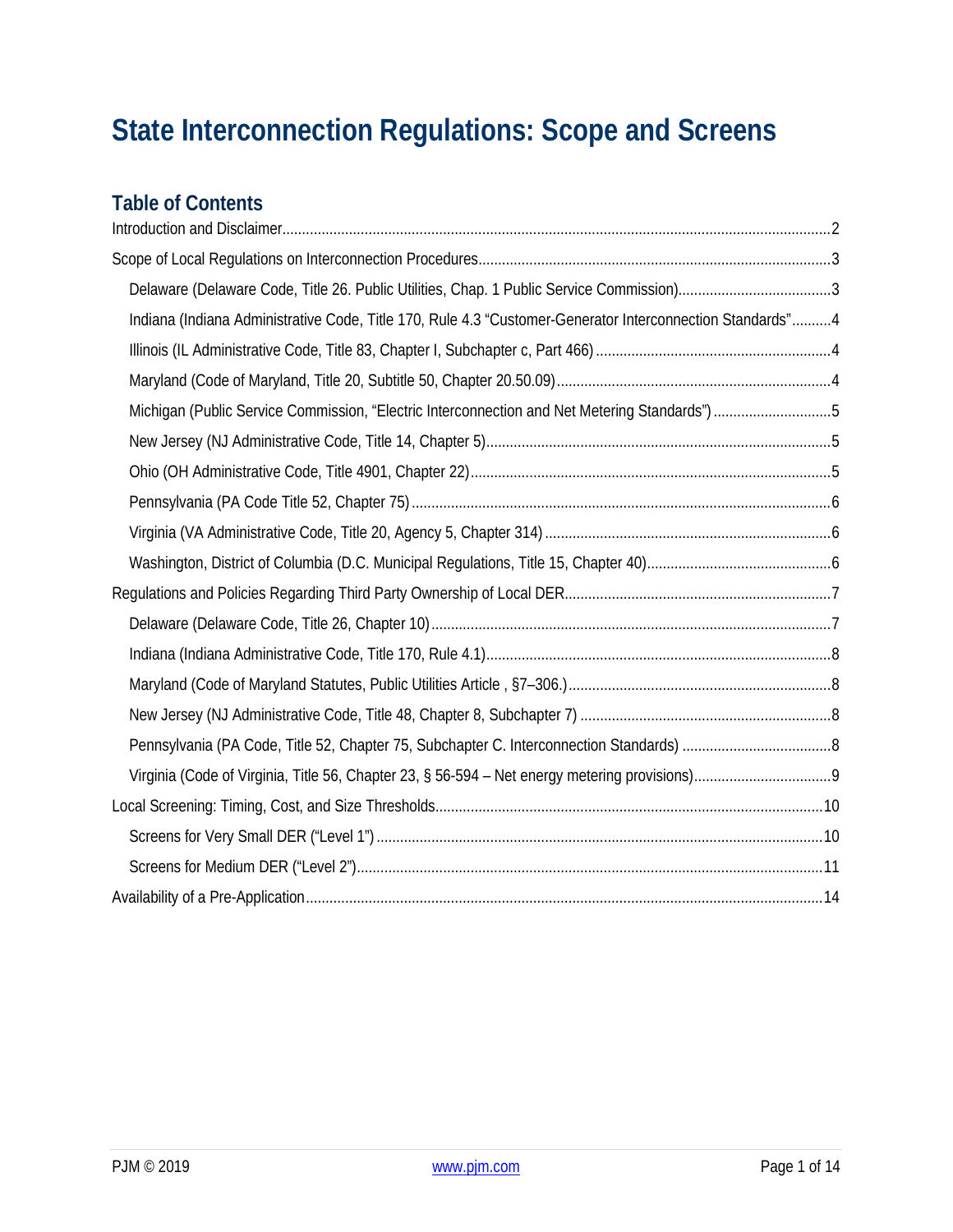# **State Interconnection Regulations: Scope and Screens**

# **Table of Contents**

| Indiana (Indiana Administrative Code, Title 170, Rule 4.3 "Customer-Generator Interconnection Standards"4 |  |
|-----------------------------------------------------------------------------------------------------------|--|
|                                                                                                           |  |
|                                                                                                           |  |
| Michigan (Public Service Commission, "Electric Interconnection and Net Metering Standards") 5             |  |
|                                                                                                           |  |
|                                                                                                           |  |
|                                                                                                           |  |
|                                                                                                           |  |
|                                                                                                           |  |
|                                                                                                           |  |
|                                                                                                           |  |
|                                                                                                           |  |
|                                                                                                           |  |
|                                                                                                           |  |
|                                                                                                           |  |
|                                                                                                           |  |
|                                                                                                           |  |
|                                                                                                           |  |
|                                                                                                           |  |
|                                                                                                           |  |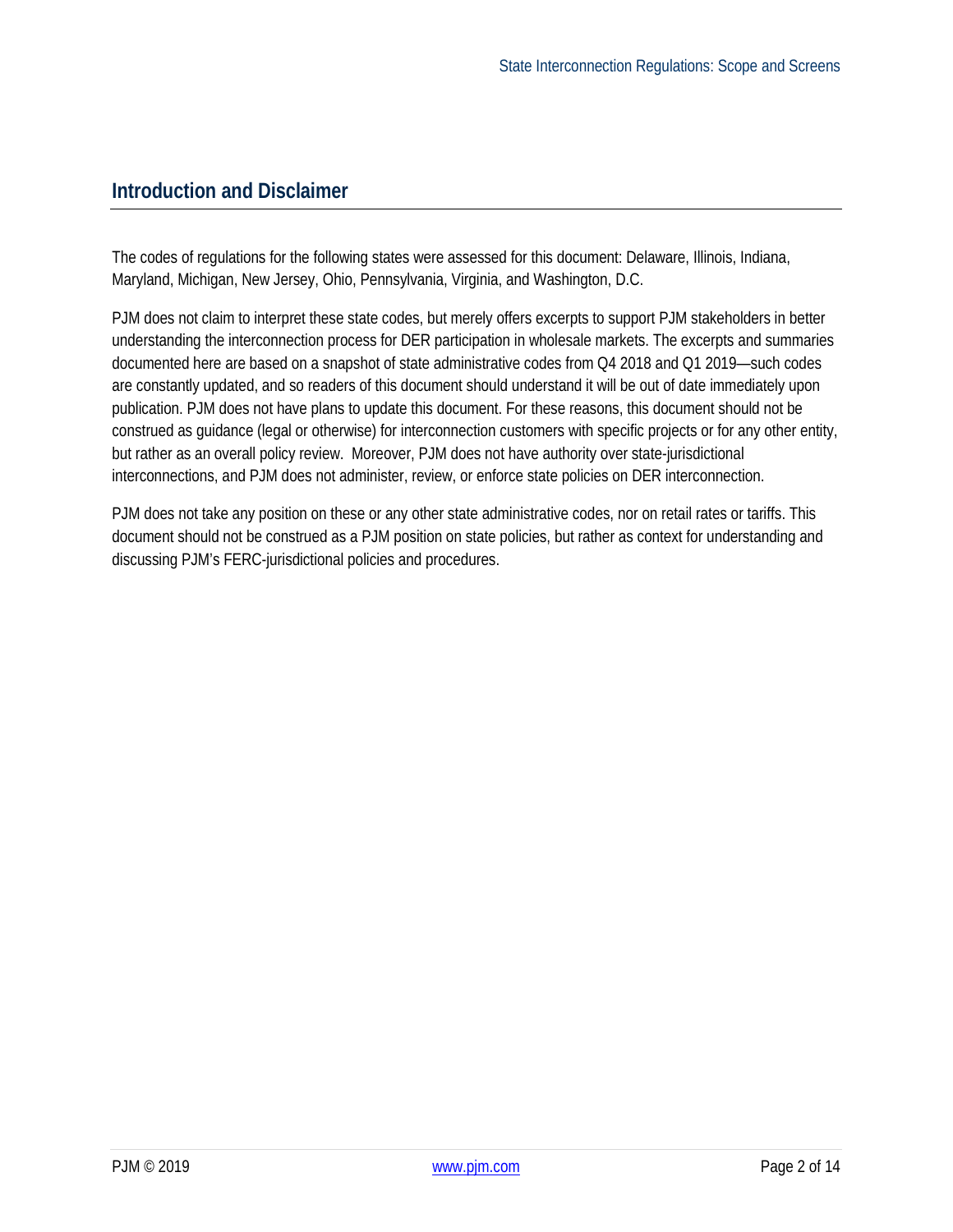### <span id="page-1-0"></span>**Introduction and Disclaimer**

The codes of regulations for the following states were assessed for this document: Delaware, Illinois, Indiana, Maryland, Michigan, New Jersey, Ohio, Pennsylvania, Virginia, and Washington, D.C.

PJM does not claim to interpret these state codes, but merely offers excerpts to support PJM stakeholders in better understanding the interconnection process for DER participation in wholesale markets. The excerpts and summaries documented here are based on a snapshot of state administrative codes from Q4 2018 and Q1 2019—such codes are constantly updated, and so readers of this document should understand it will be out of date immediately upon publication. PJM does not have plans to update this document. For these reasons, this document should not be construed as guidance (legal or otherwise) for interconnection customers with specific projects or for any other entity, but rather as an overall policy review. Moreover, PJM does not have authority over state-jurisdictional interconnections, and PJM does not administer, review, or enforce state policies on DER interconnection.

PJM does not take any position on these or any other state administrative codes, nor on retail rates or tariffs. This document should not be construed as a PJM position on state policies, but rather as context for understanding and discussing PJM's FERC-jurisdictional policies and procedures.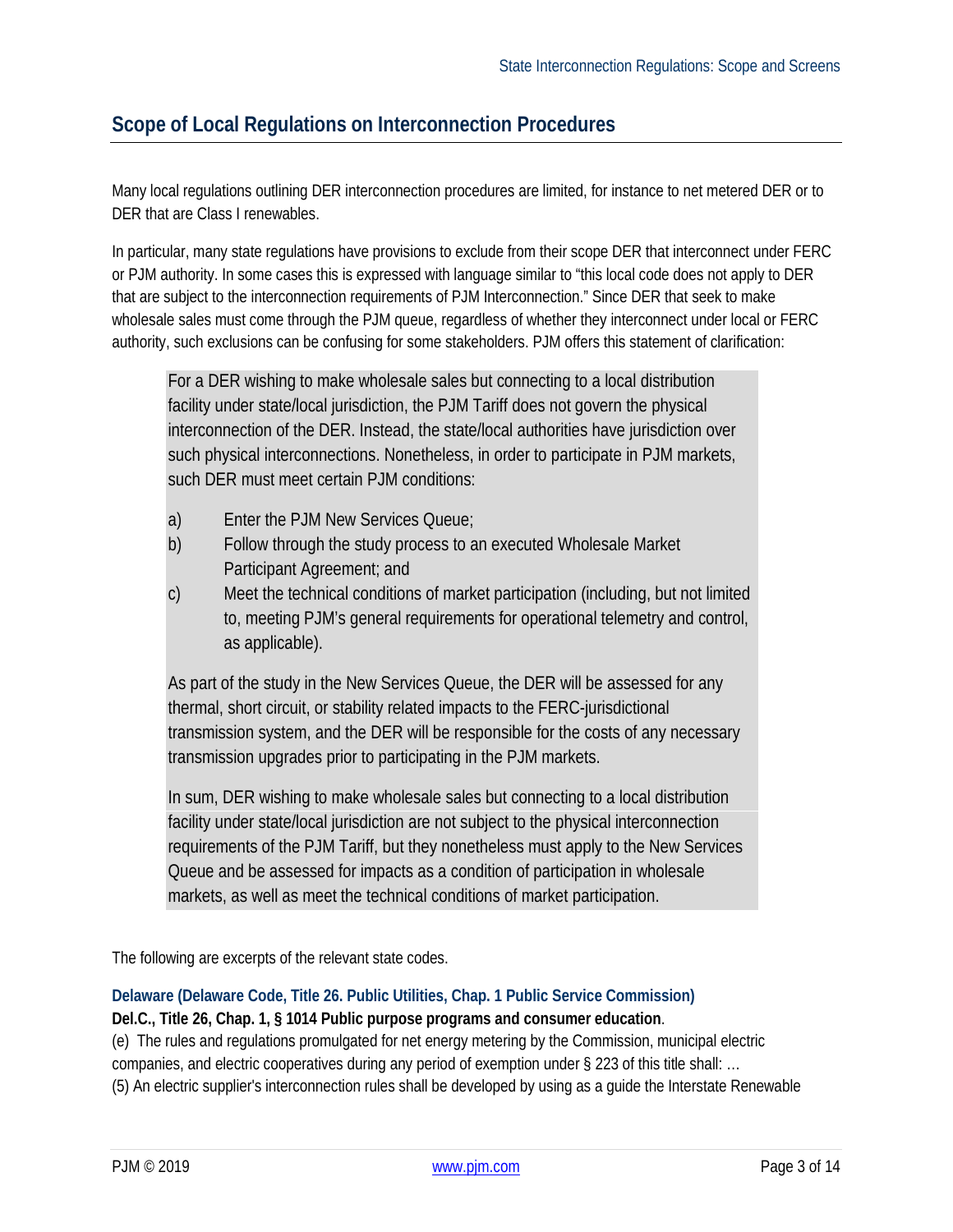### <span id="page-2-0"></span>**Scope of Local Regulations on Interconnection Procedures**

Many local regulations outlining DER interconnection procedures are limited, for instance to net metered DER or to DER that are Class I renewables.

In particular, many state regulations have provisions to exclude from their scope DER that interconnect under FERC or PJM authority. In some cases this is expressed with language similar to "this local code does not apply to DER that are subject to the interconnection requirements of PJM Interconnection." Since DER that seek to make wholesale sales must come through the PJM queue, regardless of whether they interconnect under local or FERC authority, such exclusions can be confusing for some stakeholders. PJM offers this statement of clarification:

For a DER wishing to make wholesale sales but connecting to a local distribution facility under state/local jurisdiction, the PJM Tariff does not govern the physical interconnection of the DER. Instead, the state/local authorities have jurisdiction over such physical interconnections. Nonetheless, in order to participate in PJM markets, such DER must meet certain PJM conditions:

- a) Enter the PJM New Services Queue;
- b) Follow through the study process to an executed Wholesale Market Participant Agreement; and
- c) Meet the technical conditions of market participation (including, but not limited to, meeting PJM's general requirements for operational telemetry and control, as applicable).

As part of the study in the New Services Queue, the DER will be assessed for any thermal, short circuit, or stability related impacts to the FERC-jurisdictional transmission system, and the DER will be responsible for the costs of any necessary transmission upgrades prior to participating in the PJM markets.

In sum, DER wishing to make wholesale sales but connecting to a local distribution facility under state/local jurisdiction are not subject to the physical interconnection requirements of the PJM Tariff, but they nonetheless must apply to the New Services Queue and be assessed for impacts as a condition of participation in wholesale markets, as well as meet the technical conditions of market participation.

The following are excerpts of the relevant state codes.

#### <span id="page-2-1"></span>**Delaware (Delaware Code, Title 26. Public Utilities, Chap. 1 Public Service Commission)**

**Del.C., Title 26, Chap. 1, § 1014 Public purpose programs and consumer education**.

(e) The rules and regulations promulgated for net energy metering by the Commission, municipal electric companies, and electric cooperatives during any period of exemption under § 223 of this title shall: … (5) An electric supplier's interconnection rules shall be developed by using as a guide the Interstate Renewable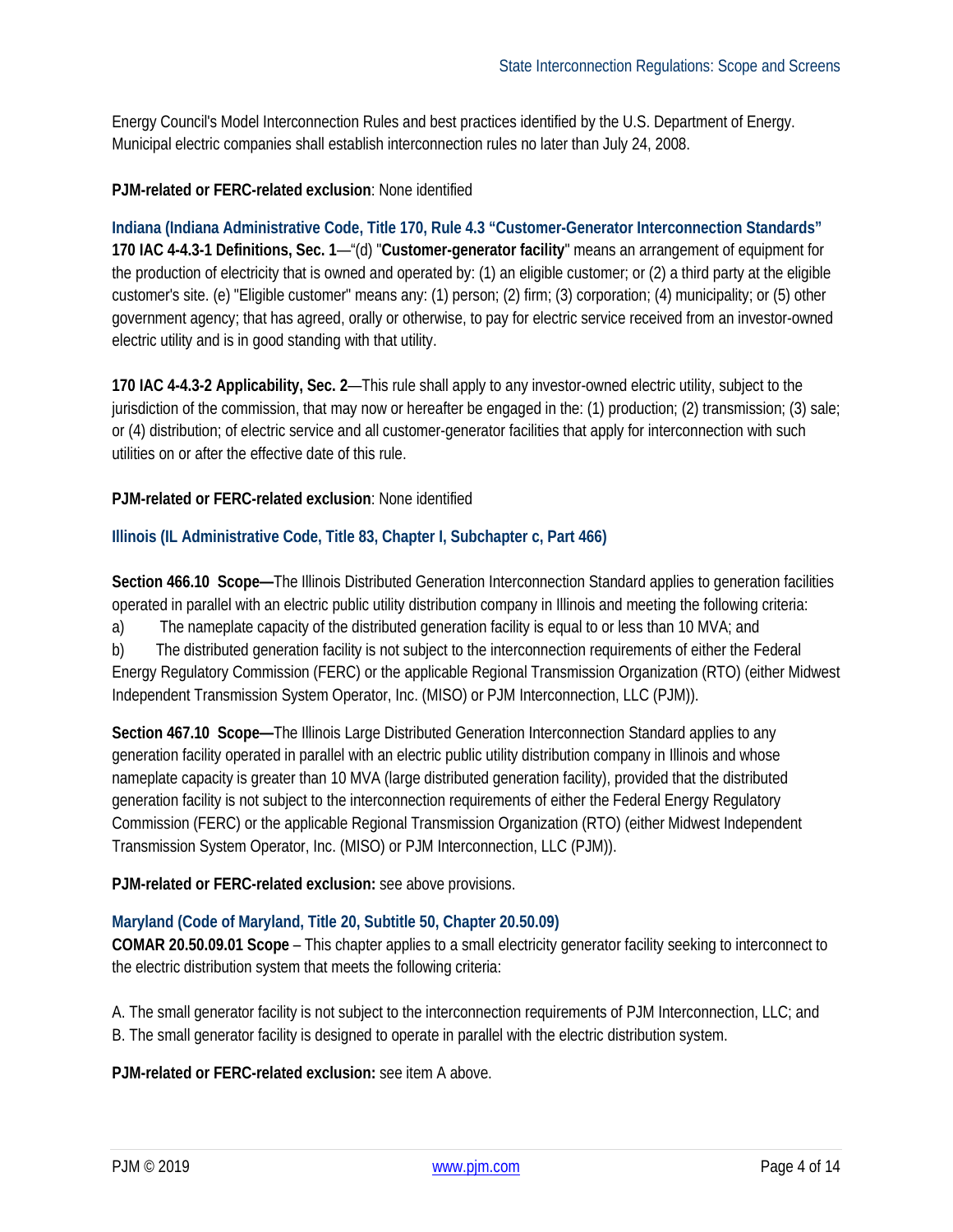Energy Council's Model Interconnection Rules and best practices identified by the U.S. Department of Energy. Municipal electric companies shall establish interconnection rules no later than July 24, 2008.

#### **PJM-related or FERC-related exclusion**: None identified

<span id="page-3-0"></span>**Indiana (Indiana Administrative Code, Title 170, Rule 4.3 "Customer-Generator Interconnection Standards" 170 IAC 4-4.3-1 Definitions, Sec. 1**—"(d) "**Customer-generator facility**" means an arrangement of equipment for the production of electricity that is owned and operated by: (1) an eligible customer; or (2) a third party at the eligible customer's site. (e) "Eligible customer" means any: (1) person; (2) firm; (3) corporation; (4) municipality; or (5) other government agency; that has agreed, orally or otherwise, to pay for electric service received from an investor-owned electric utility and is in good standing with that utility.

**170 IAC 4-4.3-2 Applicability, Sec. 2**—This rule shall apply to any investor-owned electric utility, subject to the jurisdiction of the commission, that may now or hereafter be engaged in the: (1) production; (2) transmission; (3) sale; or (4) distribution; of electric service and all customer-generator facilities that apply for interconnection with such utilities on or after the effective date of this rule.

#### **PJM-related or FERC-related exclusion**: None identified

#### <span id="page-3-1"></span>**Illinois (IL Administrative Code, Title 83, Chapter I, Subchapter c, Part 466)**

**Section 466.10 Scope—**The Illinois Distributed Generation Interconnection Standard applies to generation facilities operated in parallel with an electric public utility distribution company in Illinois and meeting the following criteria:

a) The nameplate capacity of the distributed generation facility is equal to or less than 10 MVA; and

b) The distributed generation facility is not subject to the interconnection requirements of either the Federal Energy Regulatory Commission (FERC) or the applicable Regional Transmission Organization (RTO) (either Midwest Independent Transmission System Operator, Inc. (MISO) or PJM Interconnection, LLC (PJM)).

**Section 467.10 Scope—**The Illinois Large Distributed Generation Interconnection Standard applies to any generation facility operated in parallel with an electric public utility distribution company in Illinois and whose nameplate capacity is greater than 10 MVA (large distributed generation facility), provided that the distributed generation facility is not subject to the interconnection requirements of either the Federal Energy Regulatory Commission (FERC) or the applicable Regional Transmission Organization (RTO) (either Midwest Independent Transmission System Operator, Inc. (MISO) or PJM Interconnection, LLC (PJM)).

**PJM-related or FERC-related exclusion:** see above provisions.

#### <span id="page-3-2"></span>**Maryland (Code of Maryland, Title 20, Subtitle 50, Chapter 20.50.09)**

**COMAR 20.50.09.01 Scope** – This chapter applies to a small electricity generator facility seeking to interconnect to the electric distribution system that meets the following criteria:

A. The small generator facility is not subject to the interconnection requirements of PJM Interconnection, LLC; and B. The small generator facility is designed to operate in parallel with the electric distribution system.

**PJM-related or FERC-related exclusion:** see item A above.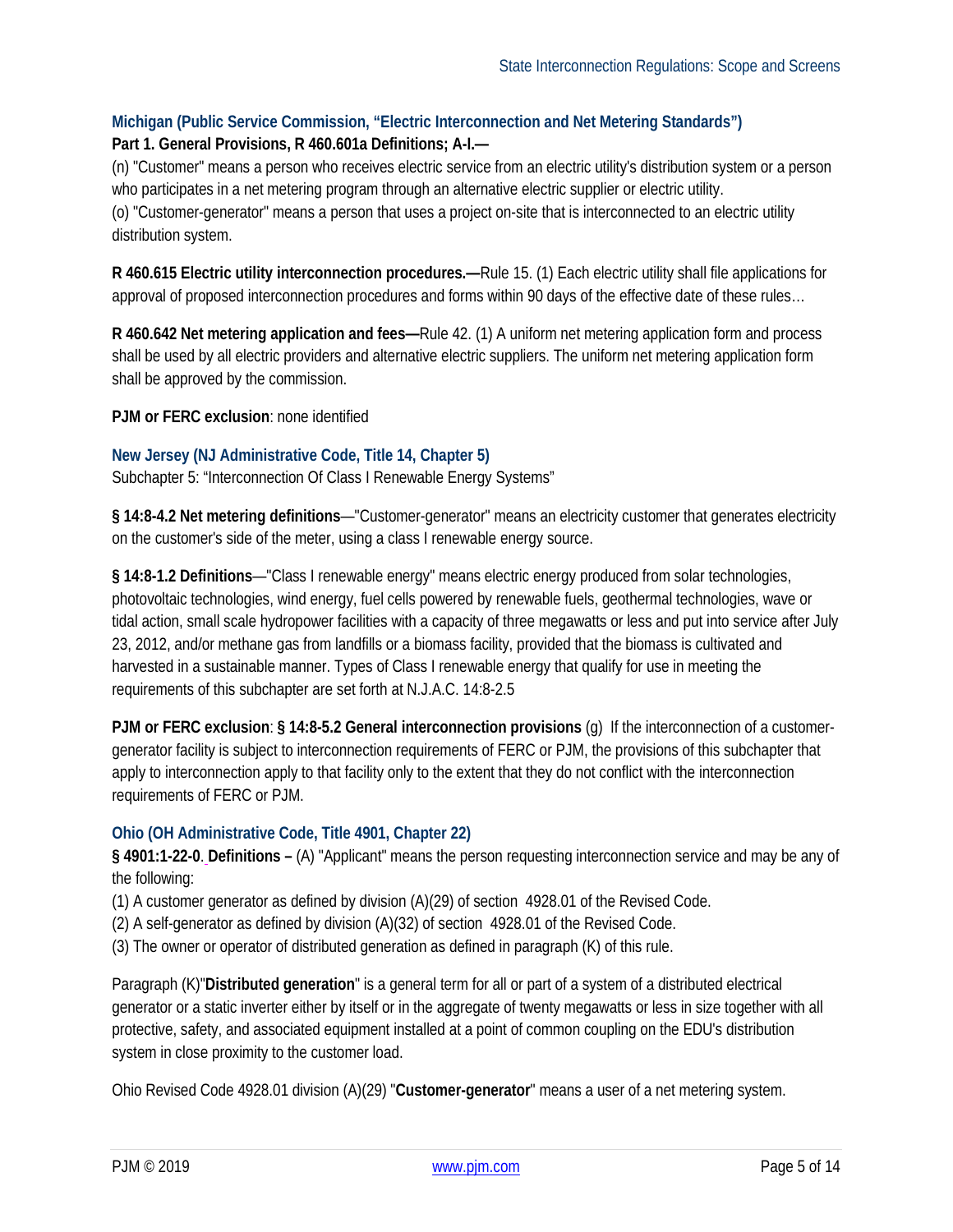#### <span id="page-4-0"></span>**Michigan (Public Service Commission, "Electric Interconnection and Net Metering Standards")**

#### **Part 1. General Provisions, R 460.601a Definitions; A-I.—**

(n) "Customer" means a person who receives electric service from an electric utility's distribution system or a person who participates in a net metering program through an alternative electric supplier or electric utility.

(o) "Customer-generator" means a person that uses a project on-site that is interconnected to an electric utility distribution system.

**R 460.615 Electric utility interconnection procedures.—**Rule 15. (1) Each electric utility shall file applications for approval of proposed interconnection procedures and forms within 90 days of the effective date of these rules…

**R 460.642 Net metering application and fees—**Rule 42. (1) A uniform net metering application form and process shall be used by all electric providers and alternative electric suppliers. The uniform net metering application form shall be approved by the commission.

**PJM or FERC exclusion**: none identified

#### <span id="page-4-1"></span>**New Jersey (NJ Administrative Code, Title 14, Chapter 5)**

Subchapter 5: "Interconnection Of Class I Renewable Energy Systems"

**§ 14:8-4.2 Net metering definitions**—"Customer-generator" means an electricity customer that generates electricity on the customer's side of the meter, using a class I renewable energy source.

**§ 14:8-1.2 Definitions**—"Class I renewable energy" means electric energy produced from solar technologies, photovoltaic technologies, wind energy, fuel cells powered by renewable fuels, geothermal technologies, wave or tidal action, small scale hydropower facilities with a capacity of three megawatts or less and put into service after July 23, 2012, and/or methane gas from landfills or a biomass facility, provided that the biomass is cultivated and harvested in a sustainable manner. Types of Class I renewable energy that qualify for use in meeting the requirements of this subchapter are set forth at N.J.A.C. 14:8-2.5

**PJM or FERC exclusion**: **§ 14:8-5.2 General interconnection provisions** (g) If the interconnection of a customergenerator facility is subject to interconnection requirements of FERC or PJM, the provisions of this subchapter that apply to interconnection apply to that facility only to the extent that they do not conflict with the interconnection requirements of FERC or PJM.

#### <span id="page-4-2"></span>**Ohio (OH Administrative Code, Title 4901, Chapter 22)**

**§ 4901:1-22-0**. **Definitions –** (A) "Applicant" means the person requesting interconnection service and may be any of the following:

(1) A customer generator as defined by division  $(A)(29)$  of section 4928.01 of the Revised Code.

- (2) A self-generator as defined by division (A)(32) of section 4928.01 of the Revised Code.
- (3) The owner or operator of distributed generation as defined in paragraph (K) of this rule.

Paragraph (K)"**Distributed generation**" is a general term for all or part of a system of a distributed electrical generator or a static inverter either by itself or in the aggregate of twenty megawatts or less in size together with all protective, safety, and associated equipment installed at a point of common coupling on the EDU's distribution system in close proximity to the customer load.

Ohio Revised Code 4928.01 division (A)(29) "**Customer-generator**" means a user of a net metering system.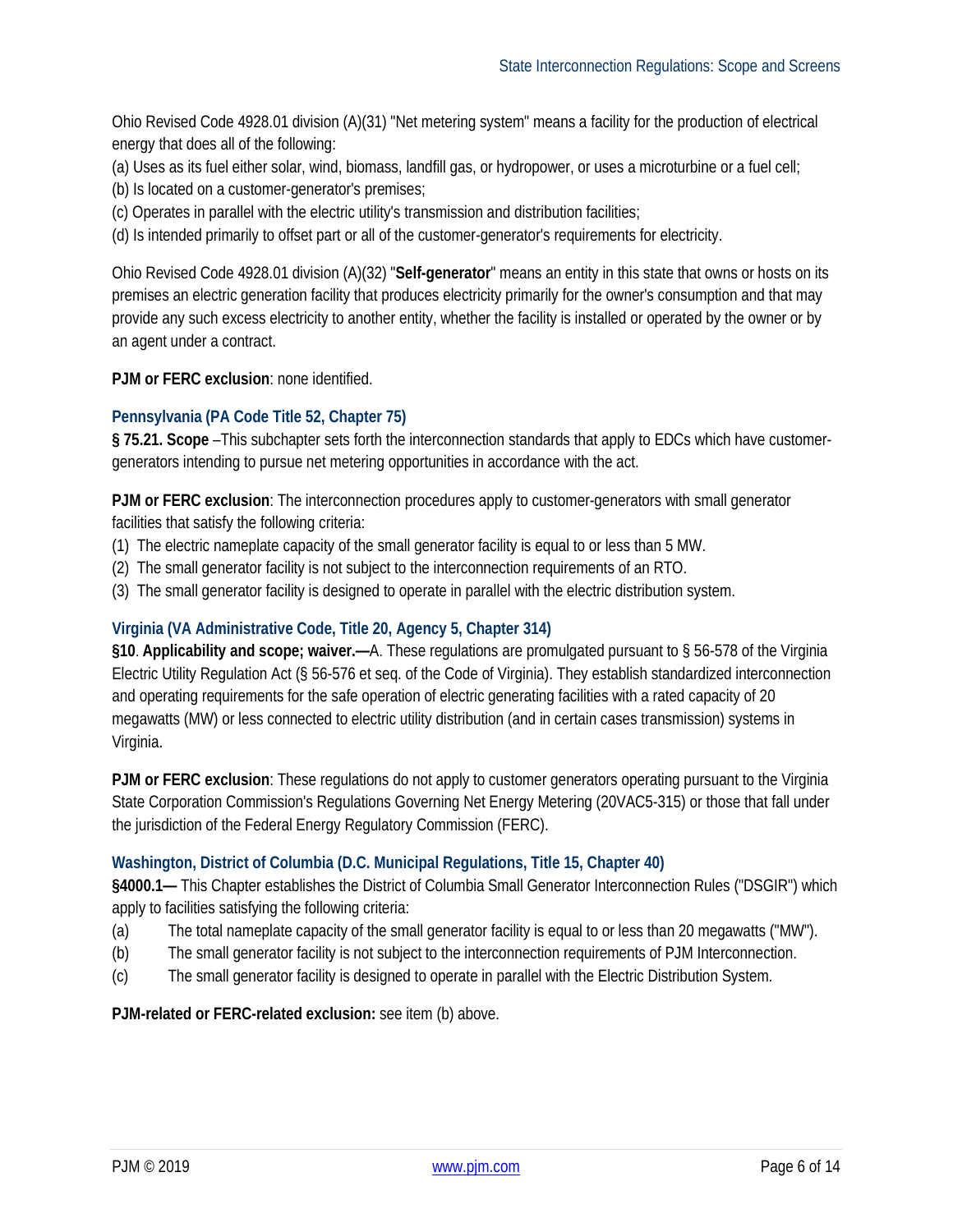Ohio Revised Code 4928.01 division (A)(31) "Net metering system" means a facility for the production of electrical energy that does all of the following:

- (a) Uses as its fuel either solar, wind, biomass, landfill gas, or hydropower, or uses a microturbine or a fuel cell;
- (b) Is located on a customer-generator's premises;
- (c) Operates in parallel with the electric utility's transmission and distribution facilities;
- (d) Is intended primarily to offset part or all of the customer-generator's requirements for electricity.

Ohio Revised Code 4928.01 division (A)(32) "**Self-generator**" means an entity in this state that owns or hosts on its premises an electric generation facility that produces electricity primarily for the owner's consumption and that may provide any such excess electricity to another entity, whether the facility is installed or operated by the owner or by an agent under a contract.

**PJM or FERC exclusion**: none identified.

#### <span id="page-5-0"></span>**Pennsylvania (PA Code Title 52, Chapter 75)**

**§ 75.21. Scope** –This subchapter sets forth the interconnection standards that apply to EDCs which have customergenerators intending to pursue net metering opportunities in accordance with the act.

**PJM or FERC exclusion**: The interconnection procedures apply to customer-generators with small generator facilities that satisfy the following criteria:

- (1) The electric nameplate capacity of the small generator facility is equal to or less than 5 MW.
- (2) The small generator facility is not subject to the interconnection requirements of an RTO.
- (3) The small generator facility is designed to operate in parallel with the electric distribution system.

#### <span id="page-5-1"></span>**Virginia (VA Administrative Code, Title 20, Agency 5, Chapter 314)**

**§10**. **Applicability and scope; waiver.—**A. These regulations are promulgated pursuant to § 56-578 of the Virginia Electric Utility Regulation Act (§ 56-576 et seq. of the Code of Virginia). They establish standardized interconnection and operating requirements for the safe operation of electric generating facilities with a rated capacity of 20 megawatts (MW) or less connected to electric utility distribution (and in certain cases transmission) systems in Virginia.

**PJM or FERC exclusion**: These regulations do not apply to customer generators operating pursuant to the Virginia State Corporation Commission's Regulations Governing Net Energy Metering (20VAC5-315) or those that fall under the jurisdiction of the Federal Energy Regulatory Commission (FERC).

#### <span id="page-5-2"></span>**Washington, District of Columbia (D.C. Municipal Regulations, Title 15, Chapter 40)**

**§4000.1—** This Chapter establishes the District of Columbia Small Generator Interconnection Rules ("DSGIR") which apply to facilities satisfying the following criteria:

- (a) The total nameplate capacity of the small generator facility is equal to or less than 20 megawatts ("MW").
- (b) The small generator facility is not subject to the interconnection requirements of PJM Interconnection.
- (c) The small generator facility is designed to operate in parallel with the Electric Distribution System.

**PJM-related or FERC-related exclusion:** see item (b) above.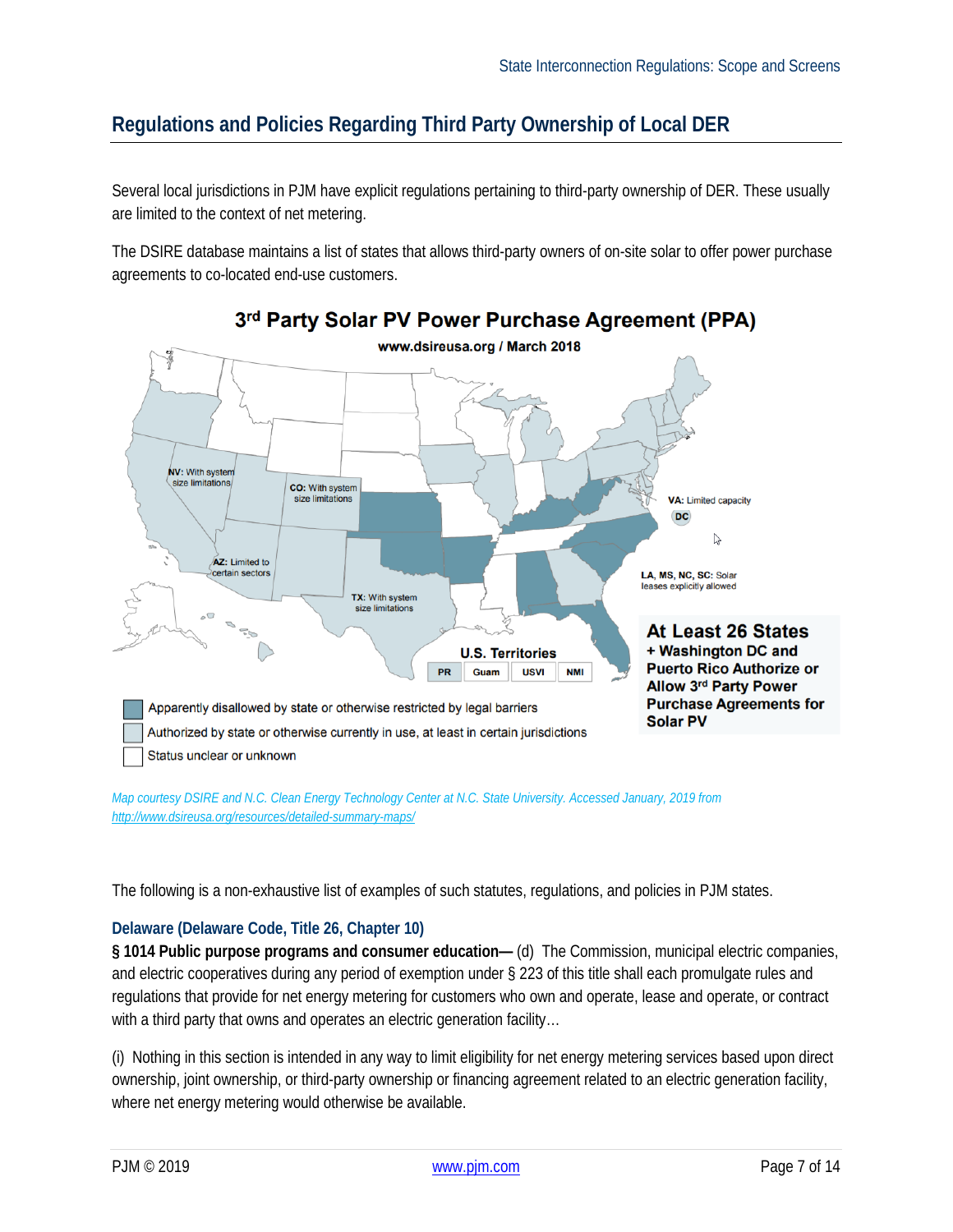## <span id="page-6-0"></span>**Regulations and Policies Regarding Third Party Ownership of Local DER**

Several local jurisdictions in PJM have explicit regulations pertaining to third-party ownership of DER. These usually are limited to the context of net metering.

The DSIRE database maintains a list of states that allows third-party owners of on-site solar to offer power purchase agreements to co-located end-use customers.



*Map courtesy DSIRE and N.C. Clean Energy Technology Center at N.C. State University. Accessed January, 2019 from <http://www.dsireusa.org/resources/detailed-summary-maps/>*

The following is a non-exhaustive list of examples of such statutes, regulations, and policies in PJM states.

#### <span id="page-6-1"></span>**Delaware (Delaware Code, Title 26, Chapter 10)**

**§ 1014 Public purpose programs and consumer education—** (d) The Commission, municipal electric companies, and electric cooperatives during any period of exemption under § 223 of this title shall each promulgate rules and regulations that provide for net energy metering for customers who own and operate, lease and operate, or contract with a third party that owns and operates an electric generation facility...

(i) Nothing in this section is intended in any way to limit eligibility for net energy metering services based upon direct ownership, joint ownership, or third-party ownership or financing agreement related to an electric generation facility, where net energy metering would otherwise be available.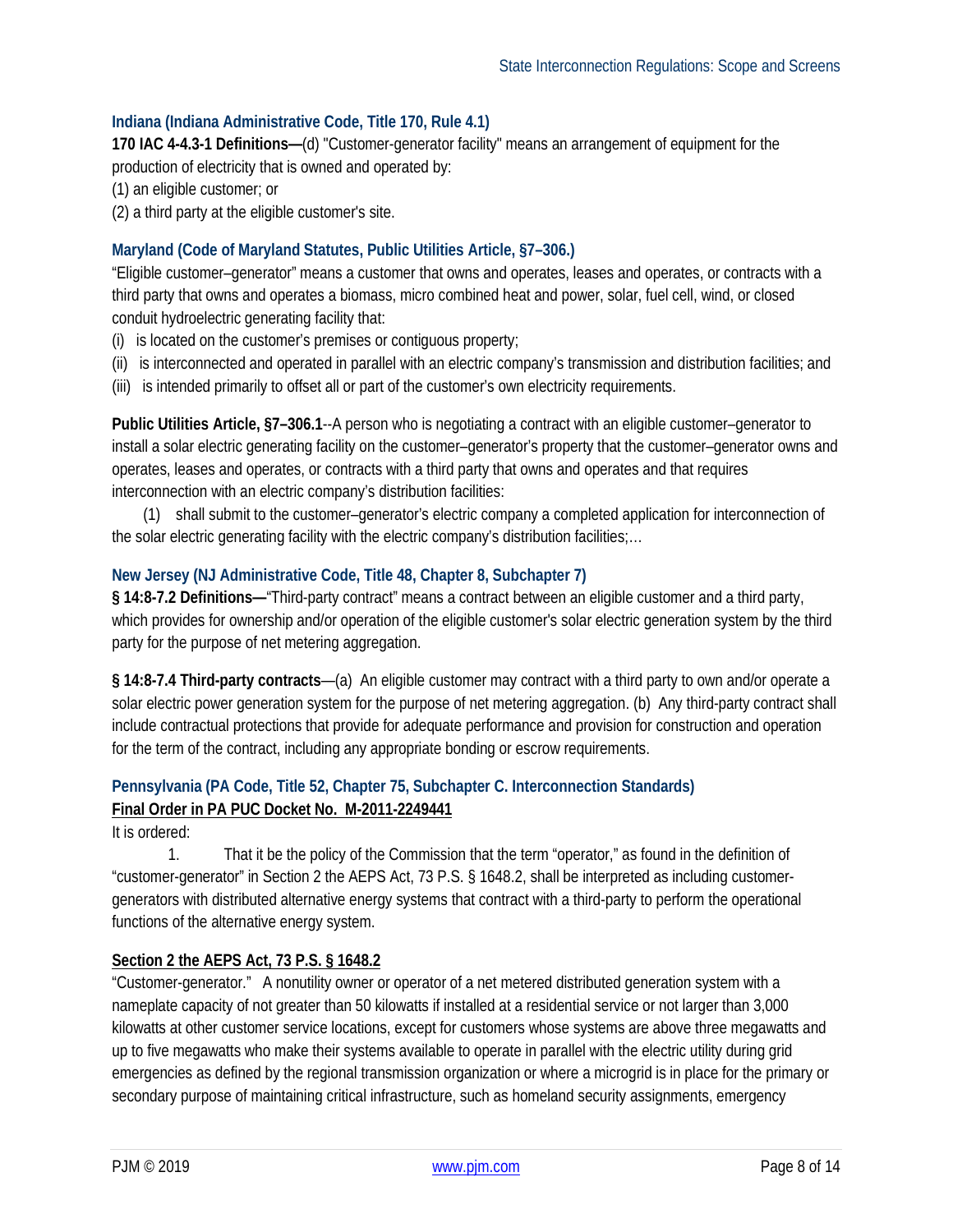#### <span id="page-7-0"></span>**Indiana (Indiana Administrative Code, Title 170, Rule 4.1)**

**170 IAC 4-4.3-1 Definitions—**(d) "Customer-generator facility" means an arrangement of equipment for the production of electricity that is owned and operated by:

(1) an eligible customer; or

(2) a third party at the eligible customer's site.

#### <span id="page-7-1"></span>**Maryland (Code of Maryland Statutes, Public Utilities Article, §7–306.)**

"Eligible customer–generator" means a customer that owns and operates, leases and operates, or contracts with a third party that owns and operates a biomass, micro combined heat and power, solar, fuel cell, wind, or closed conduit hydroelectric generating facility that:

- (i) is located on the customer's premises or contiguous property;
- (ii) is interconnected and operated in parallel with an electric company's transmission and distribution facilities; and
- (iii) is intended primarily to offset all or part of the customer's own electricity requirements.

**Public Utilities Article, §7–306.1**--A person who is negotiating a contract with an eligible customer–generator to install a solar electric generating facility on the customer–generator's property that the customer–generator owns and operates, leases and operates, or contracts with a third party that owns and operates and that requires interconnection with an electric company's distribution facilities:

 (1) shall submit to the customer–generator's electric company a completed application for interconnection of the solar electric generating facility with the electric company's distribution facilities;…

#### <span id="page-7-2"></span>**New Jersey (NJ Administrative Code, Title 48, Chapter 8, Subchapter 7)**

**§ 14:8-7.2 Definitions—**"Third-party contract" means a contract between an eligible customer and a third party, which provides for ownership and/or operation of the eligible customer's solar electric generation system by the third party for the purpose of net metering aggregation.

**§ 14:8-7.4 Third-party contracts**—(a) An eligible customer may contract with a third party to own and/or operate a solar electric power generation system for the purpose of net metering aggregation. (b) Any third-party contract shall include contractual protections that provide for adequate performance and provision for construction and operation for the term of the contract, including any appropriate bonding or escrow requirements.

#### <span id="page-7-3"></span>**Pennsylvania (PA Code, Title 52, Chapter 75, Subchapter C. Interconnection Standards) Final Order in PA PUC Docket No. M-2011-2249441**

It is ordered:

1. That it be the policy of the Commission that the term "operator," as found in the definition of "customer-generator" in Section 2 the AEPS Act, 73 P.S. § 1648.2, shall be interpreted as including customergenerators with distributed alternative energy systems that contract with a third-party to perform the operational functions of the alternative energy system.

#### **Section 2 the AEPS Act, 73 P.S. § 1648.2**

"Customer-generator." A nonutility owner or operator of a net metered distributed generation system with a nameplate capacity of not greater than 50 kilowatts if installed at a residential service or not larger than 3,000 kilowatts at other customer service locations, except for customers whose systems are above three megawatts and up to five megawatts who make their systems available to operate in parallel with the electric utility during grid emergencies as defined by the regional transmission organization or where a microgrid is in place for the primary or secondary purpose of maintaining critical infrastructure, such as homeland security assignments, emergency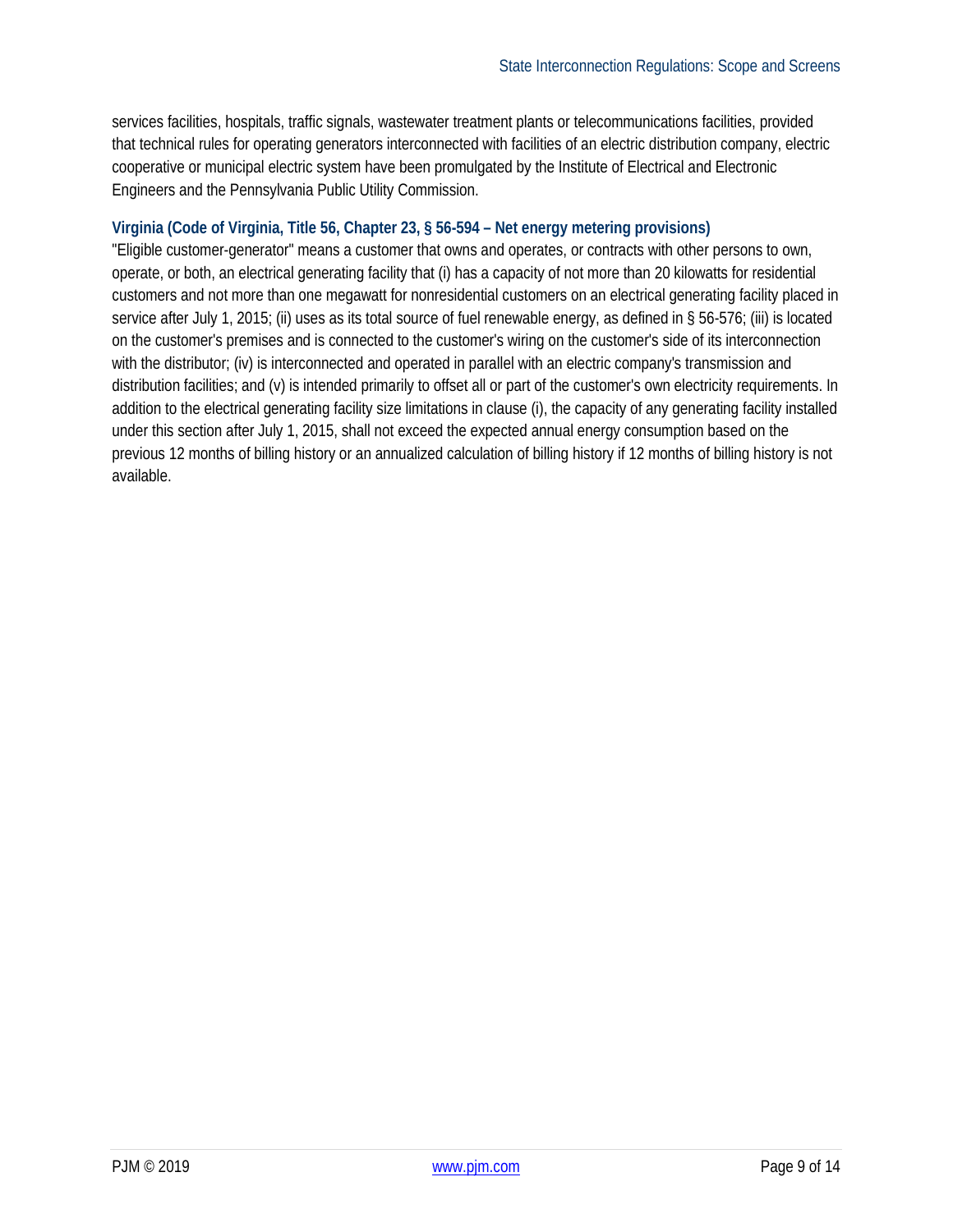services facilities, hospitals, traffic signals, wastewater treatment plants or telecommunications facilities, provided that technical rules for operating generators interconnected with facilities of an electric distribution company, electric cooperative or municipal electric system have been promulgated by the Institute of Electrical and Electronic Engineers and the Pennsylvania Public Utility Commission.

#### <span id="page-8-0"></span>**Virginia (Code of Virginia, Title 56, Chapter 23, § 56-594 – Net energy metering provisions)**

"Eligible customer-generator" means a customer that owns and operates, or contracts with other persons to own, operate, or both, an electrical generating facility that (i) has a capacity of not more than 20 kilowatts for residential customers and not more than one megawatt for nonresidential customers on an electrical generating facility placed in service after July 1, 2015; (ii) uses as its total source of fuel renewable energy, as defined in § 56-576; (iii) is located on the customer's premises and is connected to the customer's wiring on the customer's side of its interconnection with the distributor; (iv) is interconnected and operated in parallel with an electric company's transmission and distribution facilities; and (v) is intended primarily to offset all or part of the customer's own electricity requirements. In addition to the electrical generating facility size limitations in clause (i), the capacity of any generating facility installed under this section after July 1, 2015, shall not exceed the expected annual energy consumption based on the previous 12 months of billing history or an annualized calculation of billing history if 12 months of billing history is not available.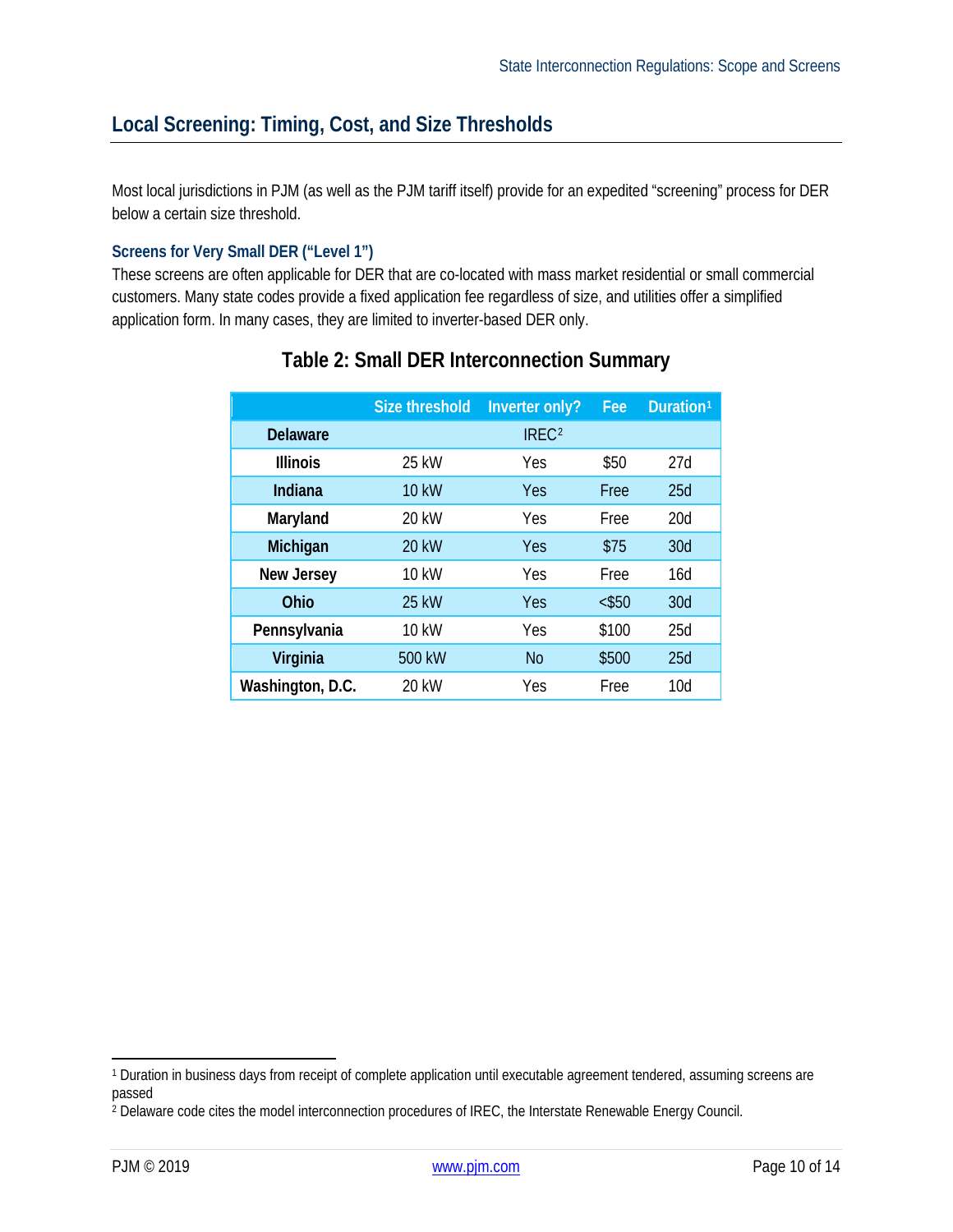## <span id="page-9-0"></span>**Local Screening: Timing, Cost, and Size Thresholds**

Most local jurisdictions in PJM (as well as the PJM tariff itself) provide for an expedited "screening" process for DER below a certain size threshold.

#### <span id="page-9-1"></span>**Screens for Very Small DER ("Level 1")**

These screens are often applicable for DER that are co-located with mass market residential or small commercial customers. Many state codes provide a fixed application fee regardless of size, and utilities offer a simplified application form. In many cases, they are limited to inverter-based DER only.

|                   | <b>Size threshold</b> | Inverter only?    | Fee      | Duration <sup>1</sup> |
|-------------------|-----------------------|-------------------|----------|-----------------------|
| <b>Delaware</b>   |                       | IREC <sup>2</sup> |          |                       |
| <b>Illinois</b>   | 25 kW                 | Yes               | \$50     | 27d                   |
| <b>Indiana</b>    | <b>10 kW</b>          | Yes               | Free     | 25d                   |
| Maryland          | 20 kW                 | Yes               | Free     | 20d                   |
| Michigan          | <b>20 kW</b>          | Yes               | \$75     | 30d                   |
| <b>New Jersey</b> | 10 kW                 | Yes               | Free     | 16d                   |
| Ohio              | 25 kW                 | Yes               | $<$ \$50 | 30d                   |
| Pennsylvania      | 10 kW                 | Yes               | \$100    | 25d                   |
| Virginia          | 500 kW                | <b>No</b>         | \$500    | 25d                   |
| Washington, D.C.  | 20 kW                 | Yes               | Free     | 10d                   |

### **Table 2: Small DER Interconnection Summary**

<span id="page-9-2"></span> <sup>1</sup> Duration in business days from receipt of complete application until executable agreement tendered, assuming screens are passed

<span id="page-9-3"></span><sup>&</sup>lt;sup>2</sup> Delaware code cites the model interconnection procedures of IREC, the Interstate Renewable Energy Council.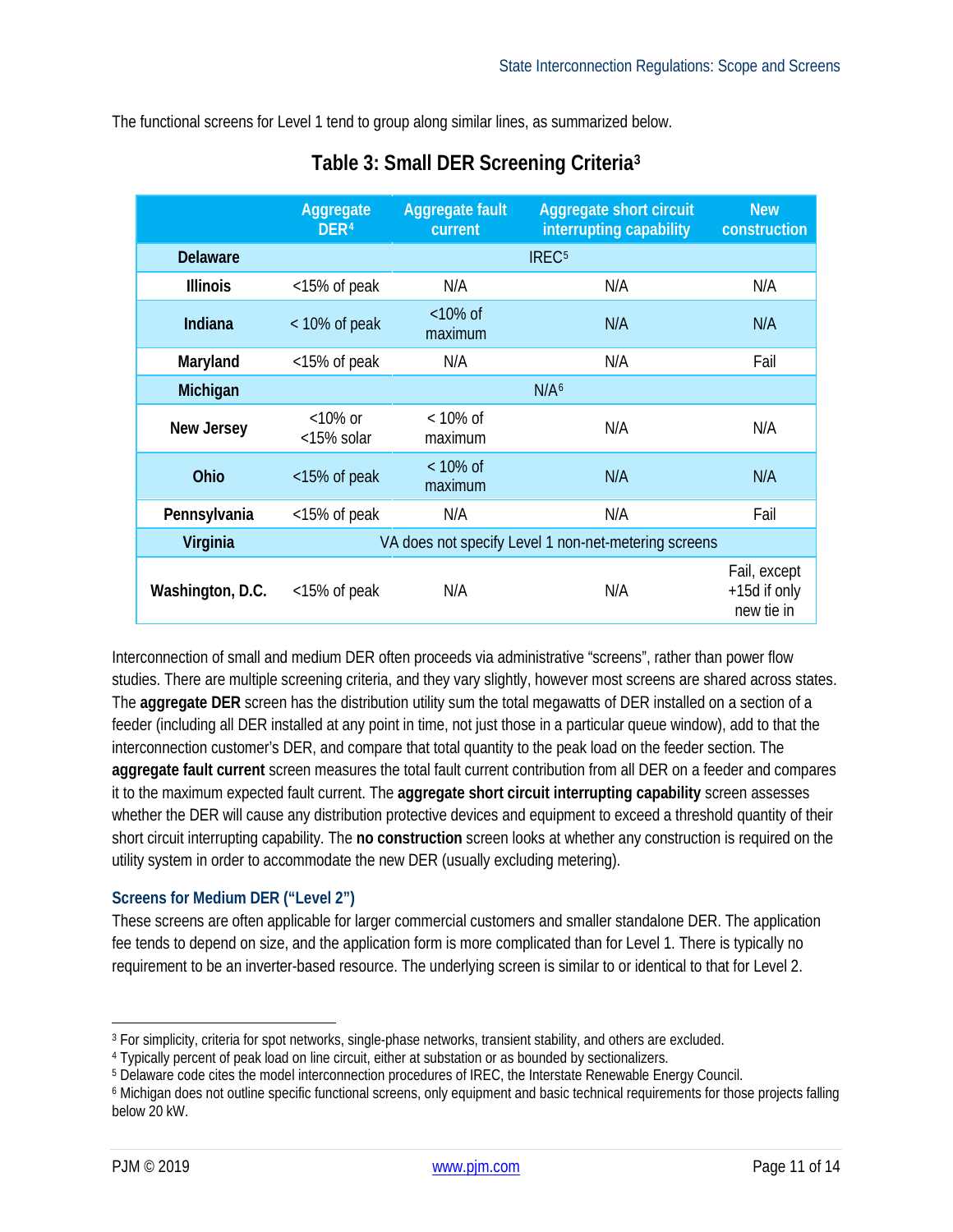The functional screens for Level 1 tend to group along similar lines, as summarized below.

|                  | Aggregate<br>DER <sup>4</sup>                        | Aggregate fault<br>current | <b>Aggregate short circuit</b><br>interrupting capability | <b>New</b><br>construction                 |
|------------------|------------------------------------------------------|----------------------------|-----------------------------------------------------------|--------------------------------------------|
| <b>Delaware</b>  |                                                      |                            | IREC <sup>5</sup>                                         |                                            |
| <b>Illinois</b>  | <15% of peak                                         | N/A                        | N/A                                                       | N/A                                        |
| Indiana          | $<$ 10% of peak                                      | $<10\%$ of<br>maximum      | N/A                                                       | N/A                                        |
| Maryland         | <15% of peak                                         | N/A                        | N/A                                                       | Fail                                       |
| Michigan         |                                                      |                            | N/A <sup>6</sup>                                          |                                            |
| New Jersey       | $<$ 10% or<br><15% solar                             | $<$ 10% of<br>maximum      | N/A                                                       | N/A                                        |
| Ohio             | <15% of peak                                         | $<$ 10% of<br>maximum      | N/A                                                       | N/A                                        |
| Pennsylvania     | <15% of peak                                         | N/A                        | N/A                                                       | Fail                                       |
| Virginia         | VA does not specify Level 1 non-net-metering screens |                            |                                                           |                                            |
| Washington, D.C. | <15% of peak                                         | N/A                        | N/A                                                       | Fail, except<br>+15d if only<br>new tie in |

# **Table 3: Small DER Screening Criteria[3](#page-10-1)**

Interconnection of small and medium DER often proceeds via administrative "screens", rather than power flow studies. There are multiple screening criteria, and they vary slightly, however most screens are shared across states. The **aggregate DER** screen has the distribution utility sum the total megawatts of DER installed on a section of a feeder (including all DER installed at any point in time, not just those in a particular queue window), add to that the interconnection customer's DER, and compare that total quantity to the peak load on the feeder section. The **aggregate fault current** screen measures the total fault current contribution from all DER on a feeder and compares it to the maximum expected fault current. The **aggregate short circuit interrupting capability** screen assesses whether the DER will cause any distribution protective devices and equipment to exceed a threshold quantity of their short circuit interrupting capability. The **no construction** screen looks at whether any construction is required on the utility system in order to accommodate the new DER (usually excluding metering).

#### <span id="page-10-0"></span>**Screens for Medium DER ("Level 2")**

These screens are often applicable for larger commercial customers and smaller standalone DER. The application fee tends to depend on size, and the application form is more complicated than for Level 1. There is typically no requirement to be an inverter-based resource. The underlying screen is similar to or identical to that for Level 2.

<span id="page-10-1"></span> <sup>3</sup> For simplicity, criteria for spot networks, single-phase networks, transient stability, and others are excluded.

<span id="page-10-2"></span><sup>4</sup> Typically percent of peak load on line circuit, either at substation or as bounded by sectionalizers.

<span id="page-10-3"></span><sup>5</sup> Delaware code cites the model interconnection procedures of IREC, the Interstate Renewable Energy Council.

<span id="page-10-4"></span><sup>6</sup> Michigan does not outline specific functional screens, only equipment and basic technical requirements for those projects falling below 20 kW.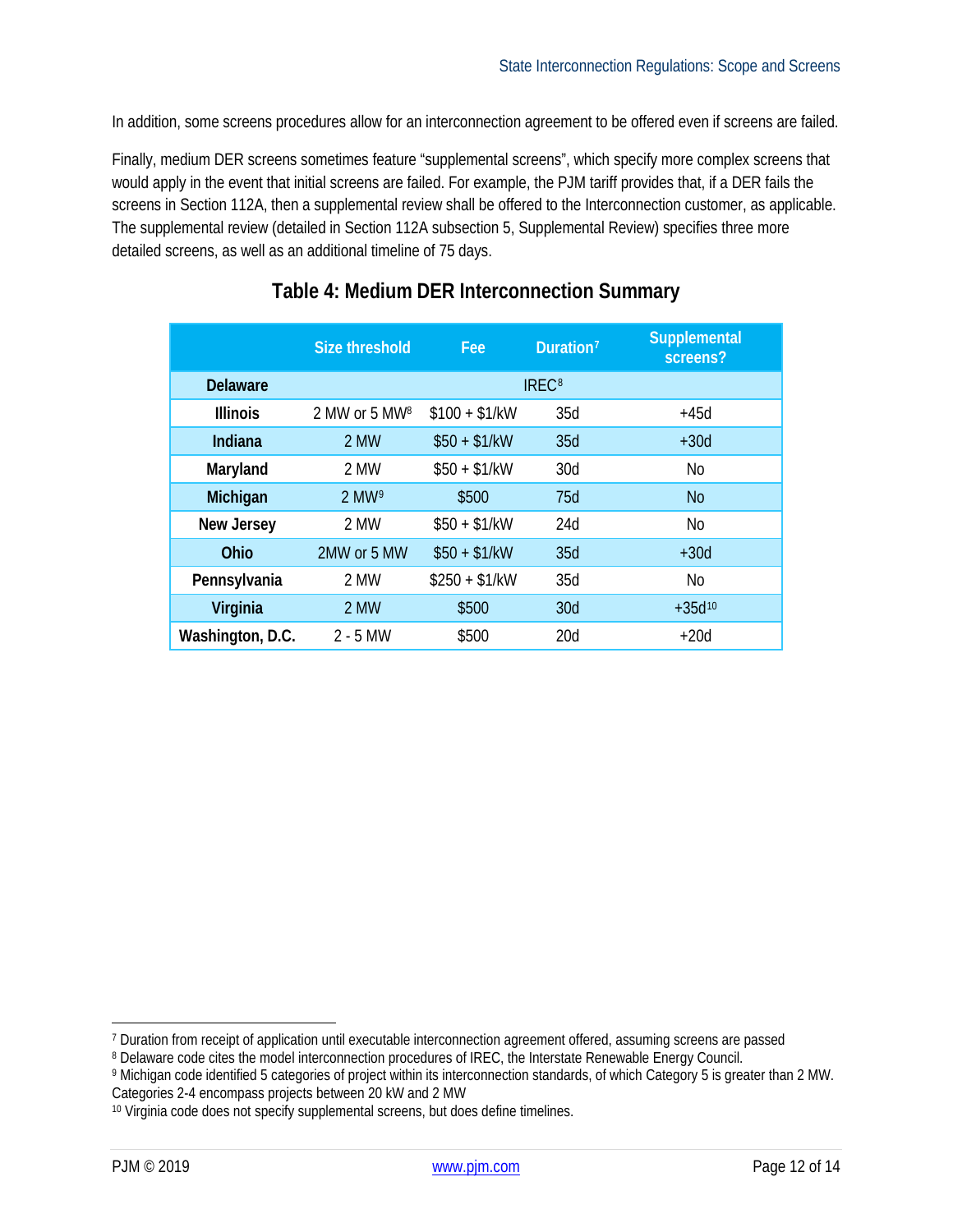In addition, some screens procedures allow for an interconnection agreement to be offered even if screens are failed.

Finally, medium DER screens sometimes feature "supplemental screens", which specify more complex screens that would apply in the event that initial screens are failed. For example, the PJM tariff provides that, if a DER fails the screens in Section 112A, then a supplemental review shall be offered to the Interconnection customer, as applicable. The supplemental review (detailed in Section 112A subsection 5, Supplemental Review) specifies three more detailed screens, as well as an additional timeline of 75 days.

|                  | <b>Size threshold</b>     | Fee            | Duration <sup>7</sup> | <b>Supplemental</b><br>screens? |
|------------------|---------------------------|----------------|-----------------------|---------------------------------|
| <b>Delaware</b>  |                           |                | IREC <sup>8</sup>     |                                 |
| <b>Illinois</b>  | 2 MW or 5 MW <sup>8</sup> | $$100 + $1/kW$ | 35d                   | $+45d$                          |
| <b>Indiana</b>   | 2 MW                      | $$50 + $1/kW$  | 35d                   | $+30d$                          |
| Maryland         | 2 MW                      | $$50 + $1/kW$  | 30d                   | <b>No</b>                       |
| Michigan         | $2$ MW <sup>9</sup>       | \$500          | 75d                   | <b>No</b>                       |
| New Jersey       | 2 MW                      | $$50 + $1/kW$  | 24d                   | No                              |
| Ohio             | 2MW or 5 MW               | $$50 + $1/kW$  | 35d                   | $+30d$                          |
| Pennsylvania     | 2 MW                      | $$250 + $1/kW$ | 35d                   | No                              |
| Virginia         | 2 MW                      | \$500          | 30d                   | $+35d^{10}$                     |
| Washington, D.C. | $2 - 5$ MW                | \$500          | 20d                   | $+20d$                          |

### **Table 4: Medium DER Interconnection Summary**

<span id="page-11-0"></span> <sup>7</sup> Duration from receipt of application until executable interconnection agreement offered, assuming screens are passed

<span id="page-11-1"></span><sup>8</sup> Delaware code cites the model interconnection procedures of IREC, the Interstate Renewable Energy Council.

<span id="page-11-2"></span><sup>9</sup> Michigan code identified 5 categories of project within its interconnection standards, of which Category 5 is greater than 2 MW. Categories 2-4 encompass projects between 20 kW and 2 MW

<span id="page-11-3"></span><sup>&</sup>lt;sup>10</sup> Virginia code does not specify supplemental screens, but does define timelines.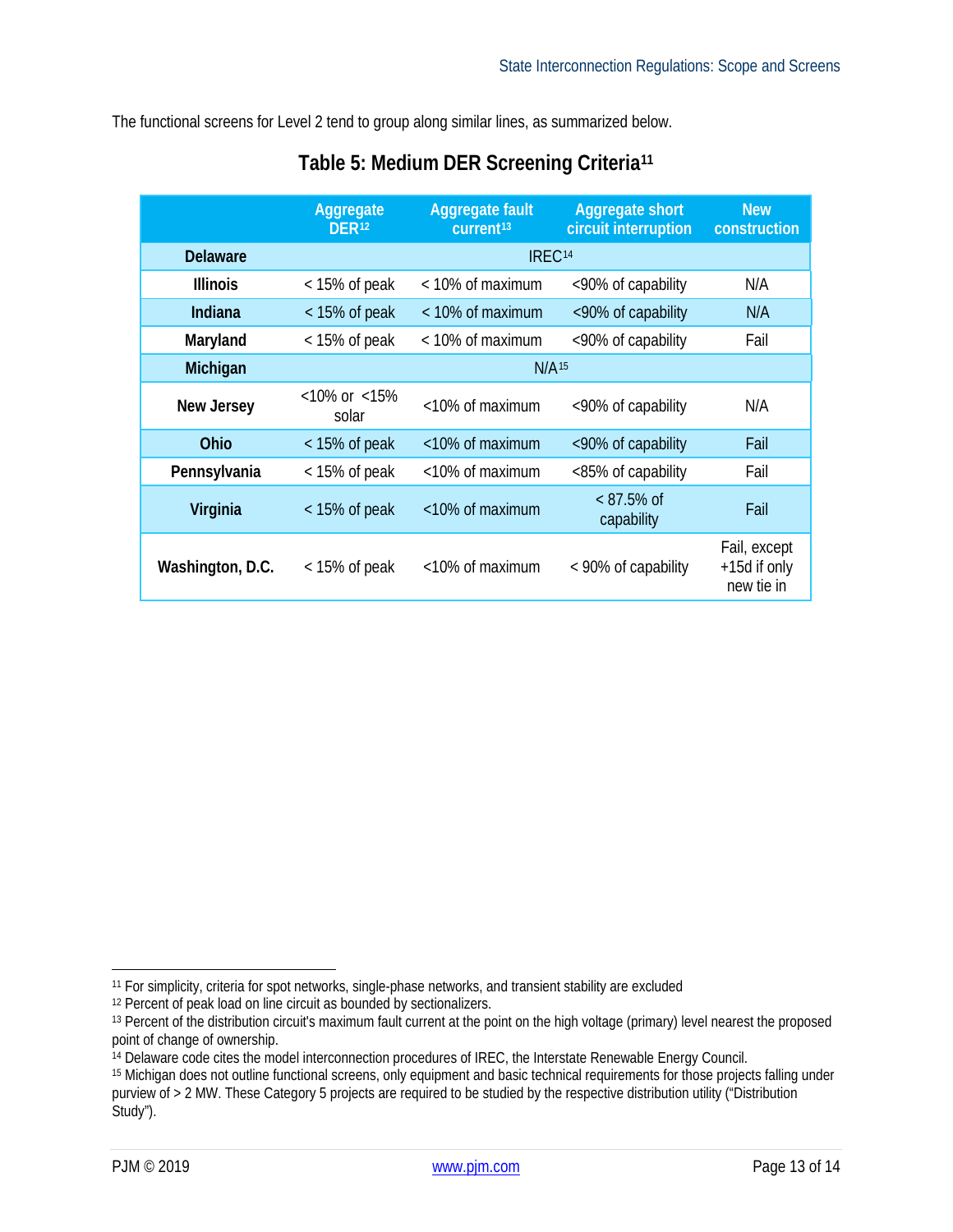The functional screens for Level 2 tend to group along similar lines, as summarized below.

|                  | Aggregate<br>DER <sub>12</sub> | <b>Aggregate fault</b><br>current <sup>13</sup> | <b>Aggregate short</b><br>circuit interruption | <b>New</b><br>construction                 |
|------------------|--------------------------------|-------------------------------------------------|------------------------------------------------|--------------------------------------------|
| <b>Delaware</b>  | IREC <sup>14</sup>             |                                                 |                                                |                                            |
| <b>Illinois</b>  | $<$ 15% of peak                | < 10% of maximum                                | <90% of capability                             | N/A                                        |
| Indiana          | $<$ 15% of peak                | $<$ 10% of maximum                              | <90% of capability                             | N/A                                        |
| Maryland         | $<$ 15% of peak                | $<$ 10% of maximum                              | <90% of capability                             | Fail                                       |
| Michigan         | N/A <sup>15</sup>              |                                                 |                                                |                                            |
| New Jersey       | $<$ 10% or $<$ 15%<br>solar    | $<$ 10% of maximum                              | <90% of capability                             | N/A                                        |
| <b>Ohio</b>      | $<$ 15% of peak                | $<$ 10% of maximum                              | <90% of capability                             | Fail                                       |
| Pennsylvania     | $<$ 15% of peak                | $<$ 10% of maximum                              | <85% of capability                             | Fail                                       |
| Virginia         | $<$ 15% of peak                | <10% of maximum                                 | $< 87.5\%$ of<br>capability                    | Fail                                       |
| Washington, D.C. | $<$ 15% of peak                | $<$ 10% of maximum                              | < 90% of capability                            | Fail, except<br>+15d if only<br>new tie in |

# **Table 5: Medium DER Screening Criteria[11](#page-12-0)**

<span id="page-12-0"></span> <sup>11</sup> For simplicity, criteria for spot networks, single-phase networks, and transient stability are excluded

<span id="page-12-1"></span><sup>12</sup> Percent of peak load on line circuit as bounded by sectionalizers.

<span id="page-12-2"></span><sup>13</sup> Percent of the distribution circuit's maximum fault current at the point on the high voltage (primary) level nearest the proposed point of change of ownership.

<span id="page-12-3"></span><sup>14</sup> Delaware code cites the model interconnection procedures of IREC, the Interstate Renewable Energy Council.

<span id="page-12-4"></span><sup>15</sup> Michigan does not outline functional screens, only equipment and basic technical requirements for those projects falling under purview of > 2 MW. These Category 5 projects are required to be studied by the respective distribution utility ("Distribution Study").